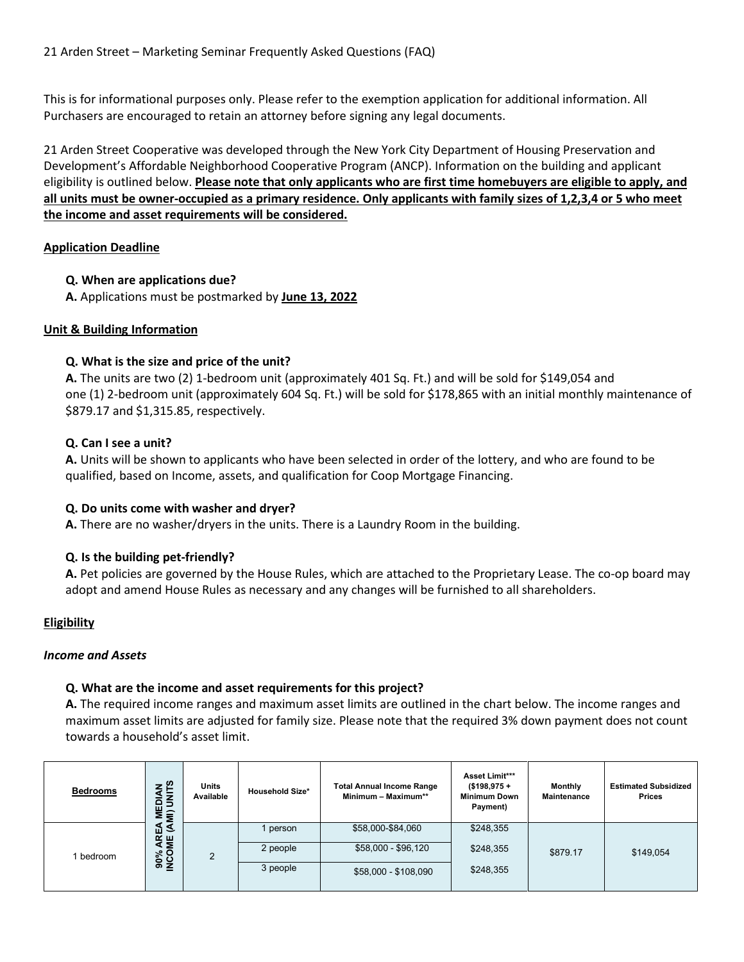This is for informational purposes only. Please refer to the exemption application for additional information. All Purchasers are encouraged to retain an attorney before signing any legal documents.

21 Arden Street Cooperative was developed through the New York City Department of Housing Preservation and Development's Affordable Neighborhood Cooperative Program (ANCP). Information on the building and applicant eligibility is outlined below. **Please note that only applicants who are first time homebuyers are eligible to apply, and all units must be owner-occupied as a primary residence. Only applicants with family sizes of 1,2,3,4 or 5 who meet the income and asset requirements will be considered.**

## **Application Deadline**

## **Q. When are applications due?**

**A.** Applications must be postmarked by **June 13, 2022**

## **Unit & Building Information**

## **Q. What is the size and price of the unit?**

**A.** The units are two (2) 1-bedroom unit (approximately 401 Sq. Ft.) and will be sold for \$149,054 and one (1) 2-bedroom unit (approximately 604 Sq. Ft.) will be sold for \$178,865 with an initial monthly maintenance of \$879.17 and \$1,315.85, respectively.

### **Q. Can I see a unit?**

**A.** Units will be shown to applicants who have been selected in order of the lottery, and who are found to be qualified, based on Income, assets, and qualification for Coop Mortgage Financing.

### **Q. Do units come with washer and dryer?**

**A.** There are no washer/dryers in the units. There is a Laundry Room in the building.

### **Q. Is the building pet-friendly?**

**A.** Pet policies are governed by the House Rules, which are attached to the Proprietary Lease. The co-op board may adopt and amend House Rules as necessary and any changes will be furnished to all shareholders.

# **Eligibility**

### *Income and Assets*

# **Q. What are the income and asset requirements for this project?**

**A.** The required income ranges and maximum asset limits are outlined in the chart below. The income ranges and maximum asset limits are adjusted for family size. Please note that the required 3% down payment does not count towards a household's asset limit.

| <b>Bedrooms</b> | <b>DIAN</b><br>UNITS<br>쁳<br>$\hat{\mathbf{s}}$ | <b>Units</b><br>Available | <b>Household Size*</b> | <b>Total Annual Income Range</b><br>Minimum - Maximum** | Asset Limit***<br>$($198,975 +$<br><b>Minimum Down</b><br>Payment) | Monthly<br><b>Maintenance</b> | <b>Estimated Subsidized</b><br><b>Prices</b> |
|-----------------|-------------------------------------------------|---------------------------|------------------------|---------------------------------------------------------|--------------------------------------------------------------------|-------------------------------|----------------------------------------------|
|                 | ্ত<br>m.<br>桑                                   |                           | person                 | \$58,000-\$84,060                                       | \$248,355                                                          |                               |                                              |
| I bedroom       | శి ర<br>္စြဲ ပို့                               | $\overline{2}$            | 2 people               | \$58,000 - \$96,120                                     | \$248,355<br>\$879.17<br>\$248,355                                 |                               | \$149,054                                    |
|                 |                                                 |                           | 3 people               | \$58,000 - \$108,090                                    |                                                                    |                               |                                              |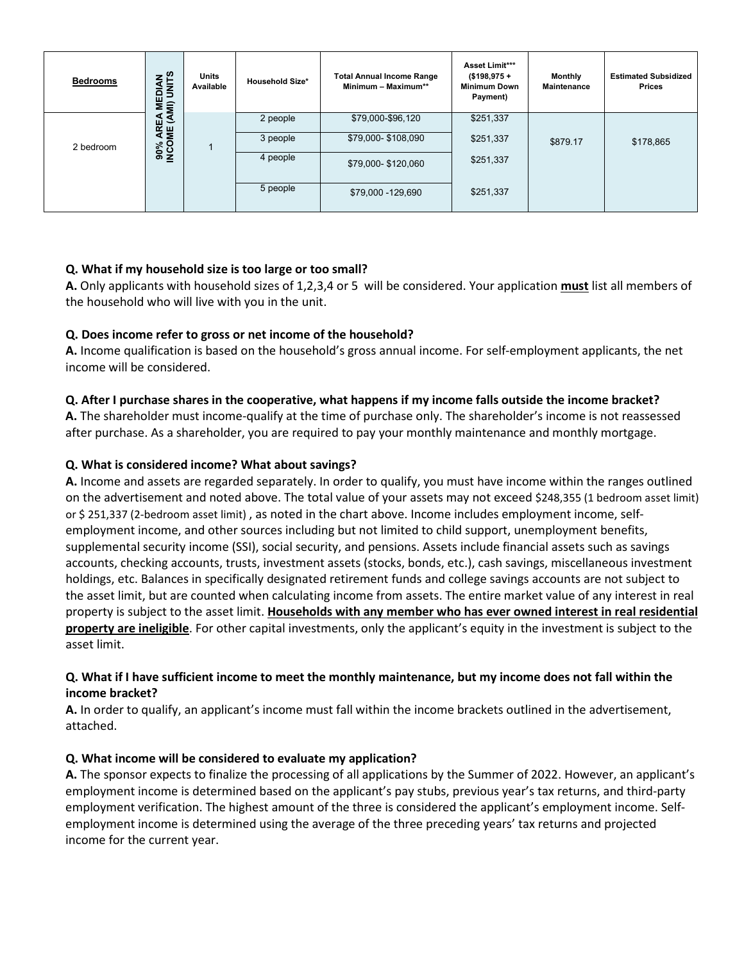| <b>Bedrooms</b> | <b>NNK</b><br>읆<br>ш  | <b>Units</b><br>Available | <b>Household Size*</b> | <b>Total Annual Income Range</b><br>Minimum - Maximum** | Asset Limit***<br>$($198,975 +$<br><b>Minimum Down</b><br>Payment) | Monthly<br>Maintenance | <b>Estimated Subsidized</b><br><b>Prices</b> |
|-----------------|-----------------------|---------------------------|------------------------|---------------------------------------------------------|--------------------------------------------------------------------|------------------------|----------------------------------------------|
|                 | EA MI)<br>(AMI)<br>m. |                           | 2 people               | \$79,000-\$96,120                                       | \$251,337                                                          |                        |                                              |
| 2 bedroom       | 90% ARE<br>INCOME     |                           | 3 people               | \$79,000-\$108,090                                      | \$251,337                                                          | \$879.17               | \$178,865                                    |
|                 |                       |                           | 4 people               | \$79,000-\$120,060                                      | \$251,337                                                          |                        |                                              |
|                 |                       |                           | 5 people               | \$79,000 - 129,690                                      | \$251,337                                                          |                        |                                              |

# **Q. What if my household size is too large or too small?**

**A.** Only applicants with household sizes of 1,2,3,4 or 5 will be considered. Your application **must** list all members of the household who will live with you in the unit.

# **Q. Does income refer to gross or net income of the household?**

**A.** Income qualification is based on the household's gross annual income. For self-employment applicants, the net income will be considered.

### **Q. After I purchase shares in the cooperative, what happens if my income falls outside the income bracket?**

**A.** The shareholder must income-qualify at the time of purchase only. The shareholder's income is not reassessed after purchase. As a shareholder, you are required to pay your monthly maintenance and monthly mortgage.

### **Q. What is considered income? What about savings?**

**A.** Income and assets are regarded separately. In order to qualify, you must have income within the ranges outlined on the advertisement and noted above. The total value of your assets may not exceed \$248,355 (1 bedroom asset limit) or \$ 251,337 (2-bedroom asset limit) , as noted in the chart above. Income includes employment income, selfemployment income, and other sources including but not limited to child support, unemployment benefits, supplemental security income (SSI), social security, and pensions. Assets include financial assets such as savings accounts, checking accounts, trusts, investment assets (stocks, bonds, etc.), cash savings, miscellaneous investment holdings, etc. Balances in specifically designated retirement funds and college savings accounts are not subject to the asset limit, but are counted when calculating income from assets. The entire market value of any interest in real property is subject to the asset limit. **Households with any member who has ever owned interest in real residential property are ineligible**. For other capital investments, only the applicant's equity in the investment is subject to the asset limit.

## **Q. What if I have sufficient income to meet the monthly maintenance, but my income does not fall within the income bracket?**

**A.** In order to qualify, an applicant's income must fall within the income brackets outlined in the advertisement, attached.

### **Q. What income will be considered to evaluate my application?**

**A.** The sponsor expects to finalize the processing of all applications by the Summer of 2022. However, an applicant's employment income is determined based on the applicant's pay stubs, previous year's tax returns, and third-party employment verification. The highest amount of the three is considered the applicant's employment income. Selfemployment income is determined using the average of the three preceding years' tax returns and projected income for the current year.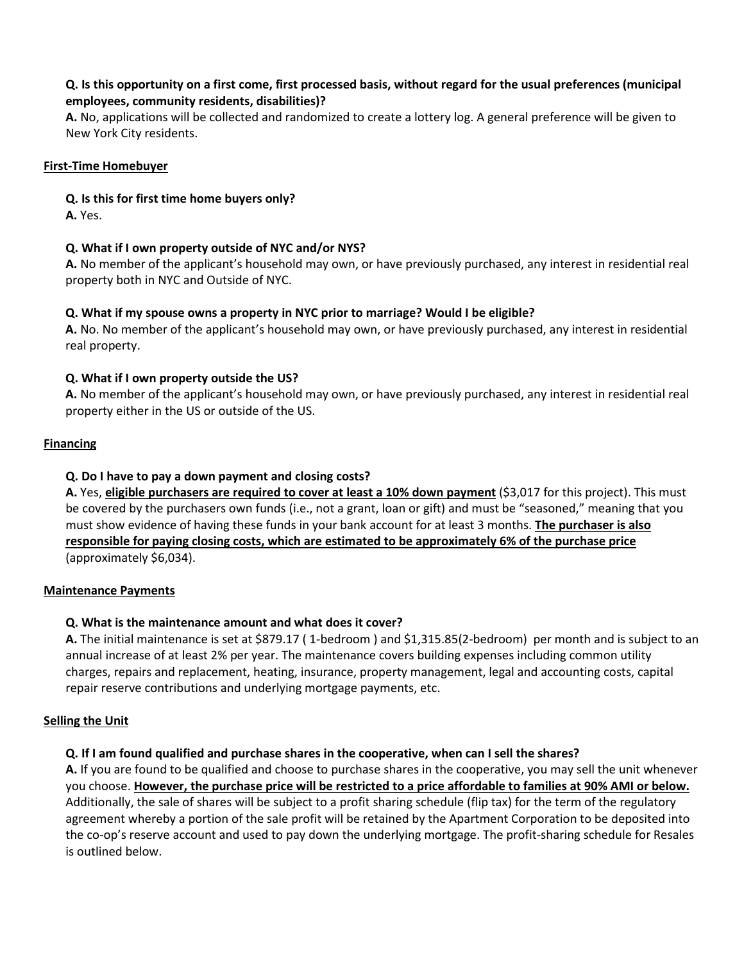## **Q. Is this opportunity on a first come, first processed basis, without regard for the usual preferences (municipal employees, community residents, disabilities)?**

**A.** No, applications will be collected and randomized to create a lottery log. A general preference will be given to New York City residents.

### **First-Time Homebuyer**

## **Q. Is this for first time home buyers only?**

**A.** Yes.

# **Q. What if I own property outside of NYC and/or NYS?**

**A.** No member of the applicant's household may own, or have previously purchased, any interest in residential real property both in NYC and Outside of NYC.

## **Q. What if my spouse owns a property in NYC prior to marriage? Would I be eligible?**

**A.** No. No member of the applicant's household may own, or have previously purchased, any interest in residential real property.

## **Q. What if I own property outside the US?**

**A.** No member of the applicant's household may own, or have previously purchased, any interest in residential real property either in the US or outside of the US.

## **Financing**

## **Q. Do I have to pay a down payment and closing costs?**

**A.** Yes, **eligible purchasers are required to cover at least a 10% down payment** (\$3,017 for this project). This must be covered by the purchasers own funds (i.e., not a grant, loan or gift) and must be "seasoned," meaning that you must show evidence of having these funds in your bank account for at least 3 months. **The purchaser is also responsible for paying closing costs, which are estimated to be approximately 6% of the purchase price** (approximately \$6,034).

### **Maintenance Payments**

# **Q. What is the maintenance amount and what does it cover?**

**A.** The initial maintenance is set at \$879.17 ( 1-bedroom ) and \$1,315.85(2-bedroom) per month and is subject to an annual increase of at least 2% per year. The maintenance covers building expenses including common utility charges, repairs and replacement, heating, insurance, property management, legal and accounting costs, capital repair reserve contributions and underlying mortgage payments, etc.

### **Selling the Unit**

# **Q. If I am found qualified and purchase shares in the cooperative, when can I sell the shares?**

**A.** If you are found to be qualified and choose to purchase shares in the cooperative, you may sell the unit whenever you choose. **However, the purchase price will be restricted to a price affordable to families at 90% AMI or below.** Additionally, the sale of shares will be subject to a profit sharing schedule (flip tax) for the term of the regulatory agreement whereby a portion of the sale profit will be retained by the Apartment Corporation to be deposited into the co-op's reserve account and used to pay down the underlying mortgage. The profit-sharing schedule for Resales is outlined below.